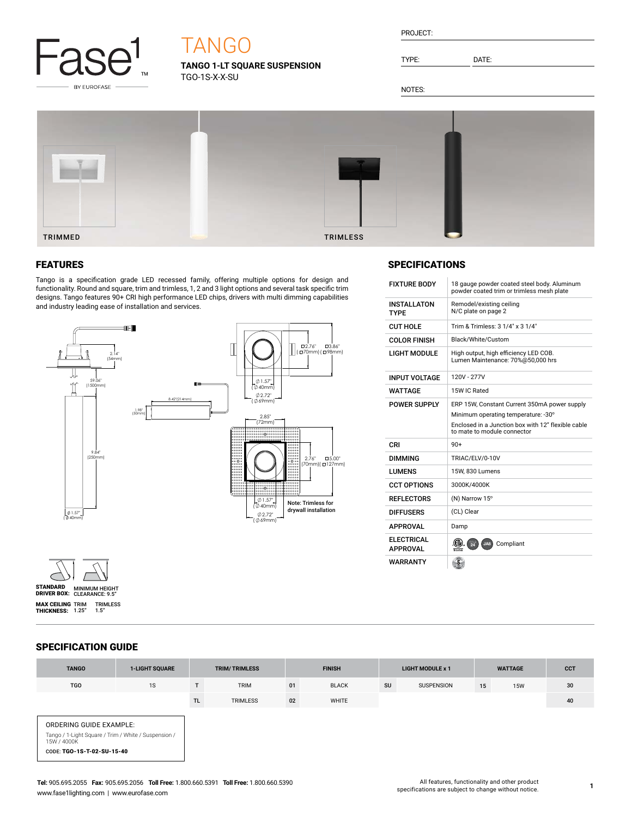

# TANGO

**TANGO 1-LT SQUARE SUSPENSION** TGO-1S-X-X-SU

| PROJECT: |  |
|----------|--|
|          |  |
|          |  |

TYPE: DATE:

NOTES:



### FEATURES

Tango is a specification grade LED recessed family, offering multiple options for design and functionality. Round and square, trim and trimless, 1, 2 and 3 light options and several task specific trim designs. Tango features 90+ CRI high performance LED chips, drivers with multi dimming capabilities and industry leading ease of installation and services.



# **SPECIFICATIONS**

| <b>FIXTURE BODY</b>                   | 18 gauge powder coated steel body. Aluminum<br>powder coated trim or trimless mesh plate                                                                                 |
|---------------------------------------|--------------------------------------------------------------------------------------------------------------------------------------------------------------------------|
| <b>INSTALLATON</b><br><b>TYPE</b>     | Remodel/existing ceiling<br>N/C plate on page 2                                                                                                                          |
| CUT HOLF                              | Trim & Trimless: 3 1/4" x 3 1/4"                                                                                                                                         |
| COLOR FINISH                          | Black/White/Custom                                                                                                                                                       |
| I IGHT MODULE                         | High output, high efficiency LED COB.<br>Lumen Maintenance: 70%@50,000 hrs                                                                                               |
| <b>INPUT VOLTAGE</b>                  | 120V - 277V                                                                                                                                                              |
| <b>WATTAGE</b>                        | 15W IC Rated                                                                                                                                                             |
| <b>POWER SUPPLY</b>                   | ERP 15W, Constant Current 350mA power supply<br>Minimum operating temperature: -30°<br>Enclosed in a Junction box with 12" flexible cable<br>to mate to module connector |
|                                       |                                                                                                                                                                          |
| CRI                                   | $90+$                                                                                                                                                                    |
| <b>DIMMING</b>                        | TRIAC/ELV/0-10V                                                                                                                                                          |
| LUMENS                                | 15W. 830 Lumens                                                                                                                                                          |
| <b>CCT OPTIONS</b>                    | 3000K/4000K                                                                                                                                                              |
| <b>REFLECTORS</b>                     | (N) Narrow 15°                                                                                                                                                           |
| <b>DIFFUSERS</b>                      | (CL) Clear                                                                                                                                                               |
| APPROVAL                              | Damp                                                                                                                                                                     |
| <b>FI FCTRICAL</b><br><b>APPROVAL</b> | Compliant<br>$\frac{1}{24}$<br>JA8<br>Intertek                                                                                                                           |

## SPECIFICATION GUIDE

STANDARD MINIMUM HEIGHT<br>DRIVER BOX: CLEARANCE: 9.5" **MAX CEILING** TRIM TRIMLESS<br>**THICKNESS:** 1.25″ 1.5″

| <b>TANGO</b>                                                                                                                 | <b>1-LIGHT SQUARE</b> |           | <b>TRIM/TRIMLESS</b> |    | <b>FINISH</b> |    | <b>LIGHT MODULE x 1</b> |    | <b>WATTAGE</b> | <b>CCT</b> |
|------------------------------------------------------------------------------------------------------------------------------|-----------------------|-----------|----------------------|----|---------------|----|-------------------------|----|----------------|------------|
| <b>TGO</b>                                                                                                                   | 1S                    |           | <b>TRIM</b>          | 01 | <b>BLACK</b>  | SU | SUSPENSION              | 15 | <b>15W</b>     | 30         |
|                                                                                                                              |                       | <b>TL</b> | <b>TRIMLESS</b>      | 02 | WHITE         |    |                         |    |                | 40         |
| ORDERING GUIDE EXAMPLE:<br>Tango / 1-Light Square / Trim / White / Suspension /<br>15W / 4000K<br>CODE: TGO-1S-T-02-SU-15-40 |                       |           |                      |    |               |    |                         |    |                |            |

**1**